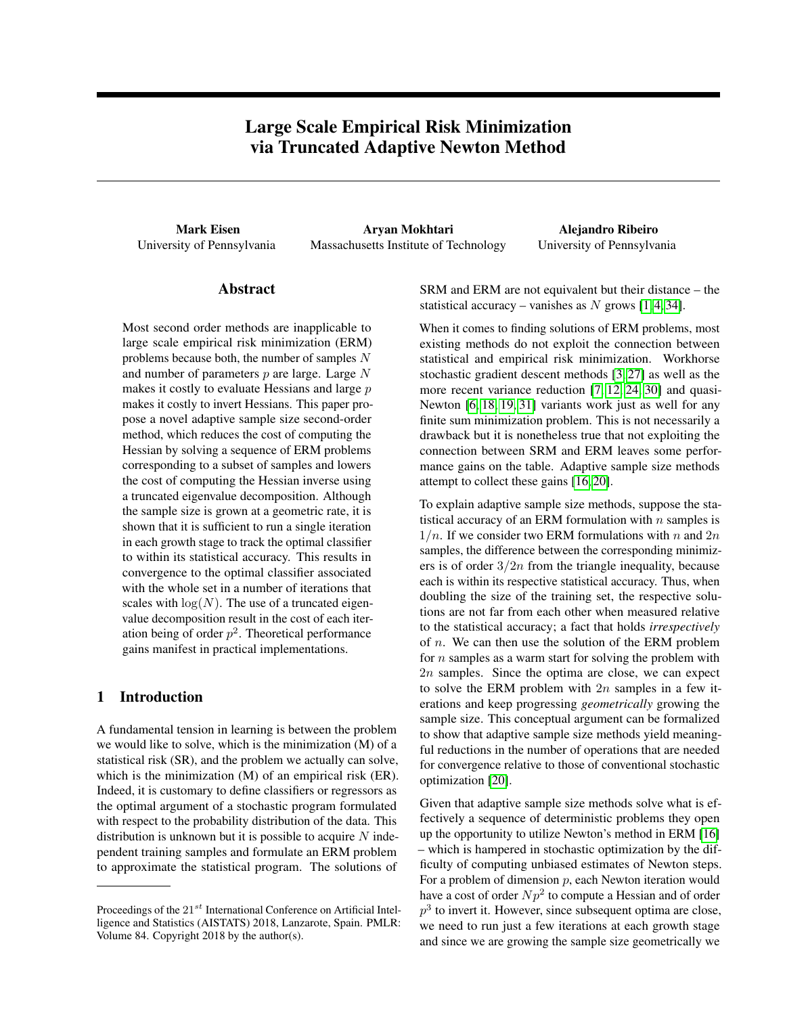# Large Scale Empirical Risk Minimization via Truncated Adaptive Newton Method

Mark Eisen Aryan Mokhtari Alejandro Ribeiro University of Pennsylvania Massachusetts Institute of Technology University of Pennsylvania

# Abstract

Most second order methods are inapplicable to large scale empirical risk minimization (ERM) problems because both, the number of samples  $N$ and number of parameters  $p$  are large. Large  $N$ makes it costly to evaluate Hessians and large  $p$ makes it costly to invert Hessians. This paper propose a novel adaptive sample size second-order method, which reduces the cost of computing the Hessian by solving a sequence of ERM problems corresponding to a subset of samples and lowers the cost of computing the Hessian inverse using a truncated eigenvalue decomposition. Although the sample size is grown at a geometric rate, it is shown that it is sufficient to run a single iteration in each growth stage to track the optimal classifier to within its statistical accuracy. This results in convergence to the optimal classifier associated with the whole set in a number of iterations that scales with  $log(N)$ . The use of a truncated eigenvalue decomposition result in the cost of each iteration being of order  $p^2$ . Theoretical performance gains manifest in practical implementations.

### 1 Introduction

A fundamental tension in learning is between the problem we would like to solve, which is the minimization (M) of a statistical risk (SR), and the problem we actually can solve, which is the minimization (M) of an empirical risk (ER). Indeed, it is customary to define classifiers or regressors as the optimal argument of a stochastic program formulated with respect to the probability distribution of the data. This distribution is unknown but it is possible to acquire  $N$  independent training samples and formulate an ERM problem to approximate the statistical program. The solutions of

SRM and ERM are not equivalent but their distance – the statistical accuracy – vanishes as N grows  $[1, 4, 34]$  $[1, 4, 34]$  $[1, 4, 34]$ .

When it comes to finding solutions of ERM problems, most existing methods do not exploit the connection between statistical and empirical risk minimization. Workhorse stochastic gradient descent methods [\[3,](#page-7-2) [27\]](#page-8-1) as well as the more recent variance reduction [\[7,](#page-7-3) [12,](#page-8-2) [24,](#page-8-3) [30\]](#page-8-4) and quasi-Newton [\[6,](#page-7-4) [18,](#page-8-5) [19,](#page-8-6) [31\]](#page-8-7) variants work just as well for any finite sum minimization problem. This is not necessarily a drawback but it is nonetheless true that not exploiting the connection between SRM and ERM leaves some performance gains on the table. Adaptive sample size methods attempt to collect these gains [\[16,](#page-8-8) [20\]](#page-8-9).

To explain adaptive sample size methods, suppose the statistical accuracy of an ERM formulation with  $n$  samples is  $1/n$ . If we consider two ERM formulations with n and  $2n$ samples, the difference between the corresponding minimizers is of order  $3/2n$  from the triangle inequality, because each is within its respective statistical accuracy. Thus, when doubling the size of the training set, the respective solutions are not far from each other when measured relative to the statistical accuracy; a fact that holds *irrespectively* of n. We can then use the solution of the ERM problem for  $n$  samples as a warm start for solving the problem with 2n samples. Since the optima are close, we can expect to solve the ERM problem with  $2n$  samples in a few iterations and keep progressing *geometrically* growing the sample size. This conceptual argument can be formalized to show that adaptive sample size methods yield meaningful reductions in the number of operations that are needed for convergence relative to those of conventional stochastic optimization [\[20\]](#page-8-9).

Given that adaptive sample size methods solve what is effectively a sequence of deterministic problems they open up the opportunity to utilize Newton's method in ERM [\[16\]](#page-8-8) – which is hampered in stochastic optimization by the difficulty of computing unbiased estimates of Newton steps. For a problem of dimension  $p$ , each Newton iteration would have a cost of order  $Np^2$  to compute a Hessian and of order  $p<sup>3</sup>$  to invert it. However, since subsequent optima are close, we need to run just a few iterations at each growth stage and since we are growing the sample size geometrically we

Proceedings of the  $21^{st}$  International Conference on Artificial Intelligence and Statistics (AISTATS) 2018, Lanzarote, Spain. PMLR: Volume 84. Copyright 2018 by the author(s).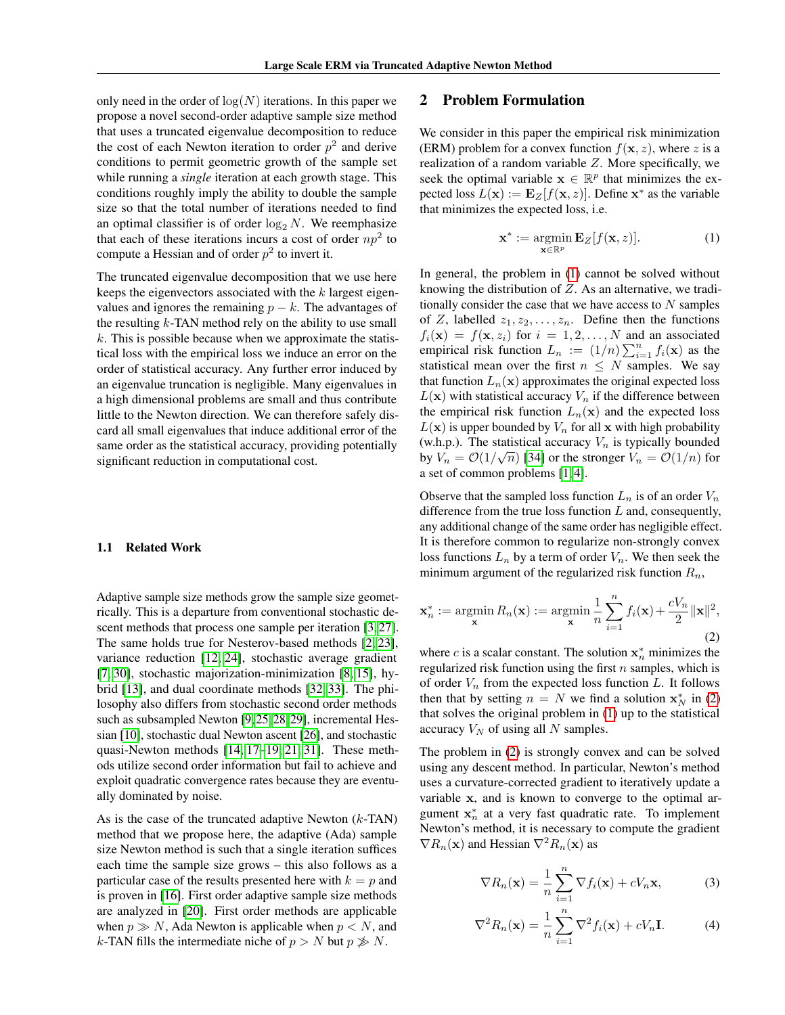only need in the order of  $log(N)$  iterations. In this paper we propose a novel second-order adaptive sample size method that uses a truncated eigenvalue decomposition to reduce the cost of each Newton iteration to order  $p^2$  and derive conditions to permit geometric growth of the sample set while running a *single* iteration at each growth stage. This conditions roughly imply the ability to double the sample size so that the total number of iterations needed to find an optimal classifier is of order  $\log_2 N$ . We reemphasize that each of these iterations incurs a cost of order  $np^2$  to compute a Hessian and of order  $p^2$  to invert it.

The truncated eigenvalue decomposition that we use here keeps the eigenvectors associated with the k largest eigenvalues and ignores the remaining  $p - k$ . The advantages of the resulting  $k$ -TAN method rely on the ability to use small  $k$ . This is possible because when we approximate the statistical loss with the empirical loss we induce an error on the order of statistical accuracy. Any further error induced by an eigenvalue truncation is negligible. Many eigenvalues in a high dimensional problems are small and thus contribute little to the Newton direction. We can therefore safely discard all small eigenvalues that induce additional error of the same order as the statistical accuracy, providing potentially significant reduction in computational cost.

#### 1.1 Related Work

Adaptive sample size methods grow the sample size geometrically. This is a departure from conventional stochastic de-scent methods that process one sample per iteration [\[3,](#page-7-2) [27\]](#page-8-1). The same holds true for Nesterov-based methods [\[2,](#page-7-5) [23\]](#page-8-10), variance reduction [\[12,](#page-8-2) [24\]](#page-8-3), stochastic average gradient [\[7,](#page-7-3) [30\]](#page-8-4), stochastic majorization-minimization [\[8,](#page-8-11) [15\]](#page-8-12), hybrid [\[13\]](#page-8-13), and dual coordinate methods [\[32,](#page-8-14) [33\]](#page-8-15). The philosophy also differs from stochastic second order methods such as subsampled Newton [\[9,](#page-8-16) [25,](#page-8-17) [28,](#page-8-18) [29\]](#page-8-19), incremental Hessian [\[10\]](#page-8-20), stochastic dual Newton ascent [\[26\]](#page-8-21), and stochastic quasi-Newton methods [\[14,](#page-8-22) [17](#page-8-23)[–19,](#page-8-6) [21,](#page-8-24) [31\]](#page-8-7). These methods utilize second order information but fail to achieve and exploit quadratic convergence rates because they are eventually dominated by noise.

As is the case of the truncated adaptive Newton  $(k-TAN)$ method that we propose here, the adaptive (Ada) sample size Newton method is such that a single iteration suffices each time the sample size grows – this also follows as a particular case of the results presented here with  $k = p$  and is proven in [\[16\]](#page-8-8). First order adaptive sample size methods are analyzed in [\[20\]](#page-8-9). First order methods are applicable when  $p \gg N$ , Ada Newton is applicable when  $p < N$ , and k-TAN fills the intermediate niche of  $p > N$  but  $p \not\gg N$ .

# 2 Problem Formulation

We consider in this paper the empirical risk minimization (ERM) problem for a convex function  $f(x, z)$ , where z is a realization of a random variable  $Z$ . More specifically, we seek the optimal variable  $x \in \mathbb{R}^p$  that minimizes the expected loss  $L(\mathbf{x}) := \mathbf{E}_Z[f(\mathbf{x}, z)]$ . Define  $\mathbf{x}^*$  as the variable that minimizes the expected loss, i.e.

<span id="page-1-0"></span>
$$
\mathbf{x}^* := \operatorname*{argmin}_{\mathbf{x} \in \mathbb{R}^p} \mathbf{E}_Z[f(\mathbf{x}, z)]. \tag{1}
$$

In general, the problem in [\(1\)](#page-1-0) cannot be solved without knowing the distribution of  $Z$ . As an alternative, we traditionally consider the case that we have access to  $N$  samples of Z, labelled  $z_1, z_2, \ldots, z_n$ . Define then the functions  $f_i(\mathbf{x}) = f(\mathbf{x}, z_i)$  for  $i = 1, 2, ..., N$  and an associated empirical risk function  $L_n := (1/n) \sum_{i=1}^n f_i(\mathbf{x})$  as the statistical mean over the first  $n \leq N$  samples. We say that function  $L_n(\mathbf{x})$  approximates the original expected loss  $L(\mathbf{x})$  with statistical accuracy  $V_n$  if the difference between the empirical risk function  $L_n(\mathbf{x})$  and the expected loss  $L(\mathbf{x})$  is upper bounded by  $V_n$  for all x with high probability (w.h.p.). The statistical accuracy  $V_n$  is typically bounded by  $V_n = \mathcal{O}(1/\sqrt{n})$  [\[34\]](#page-8-0) or the stronger  $V_n = \mathcal{O}(1/n)$  for a set of common problems [\[1,](#page-7-0) [4\]](#page-7-1).

Observe that the sampled loss function  $L_n$  is of an order  $V_n$ difference from the true loss function  $L$  and, consequently, any additional change of the same order has negligible effect. It is therefore common to regularize non-strongly convex loss functions  $L_n$  by a term of order  $V_n$ . We then seek the minimum argument of the regularized risk function  $R_n$ ,

<span id="page-1-1"></span>
$$
\mathbf{x}_n^* := \operatorname*{argmin}_{\mathbf{x}} R_n(\mathbf{x}) := \operatorname*{argmin}_{\mathbf{x}} \frac{1}{n} \sum_{i=1}^n f_i(\mathbf{x}) + \frac{cV_n}{2} ||\mathbf{x}||^2,
$$
\n(2)

where c is a scalar constant. The solution  $x_n^*$  minimizes the regularized risk function using the first  $n$  samples, which is of order  $V_n$  from the expected loss function  $L$ . It follows then that by setting  $n = N$  we find a solution  $\mathbf{x}_N^*$  in [\(2\)](#page-1-1) that solves the original problem in [\(1\)](#page-1-0) up to the statistical accuracy  $V_N$  of using all N samples.

The problem in [\(2\)](#page-1-1) is strongly convex and can be solved using any descent method. In particular, Newton's method uses a curvature-corrected gradient to iteratively update a variable x, and is known to converge to the optimal argument  $x_n^*$  at a very fast quadratic rate. To implement Newton's method, it is necessary to compute the gradient  $\nabla R_n(\mathbf{x})$  and Hessian  $\nabla^2 R_n(\mathbf{x})$  as

<span id="page-1-2"></span>
$$
\nabla R_n(\mathbf{x}) = \frac{1}{n} \sum_{i=1}^n \nabla f_i(\mathbf{x}) + cV_n \mathbf{x},
$$
 (3)

$$
\nabla^2 R_n(\mathbf{x}) = \frac{1}{n} \sum_{i=1}^n \nabla^2 f_i(\mathbf{x}) + cV_n \mathbf{I}.
$$
 (4)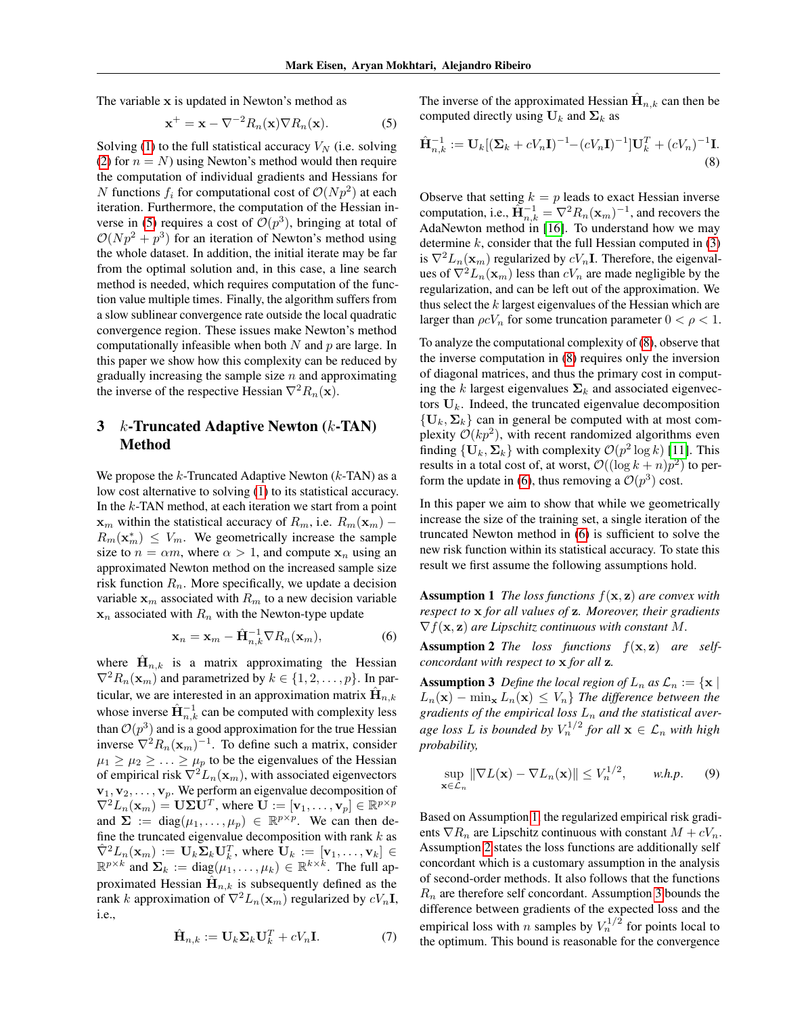The variable x is updated in Newton's method as

$$
\mathbf{x}^+ = \mathbf{x} - \nabla^{-2} R_n(\mathbf{x}) \nabla R_n(\mathbf{x}).
$$
 (5)

Solving [\(1\)](#page-1-0) to the full statistical accuracy  $V_N$  (i.e. solving [\(2\)](#page-1-1) for  $n = N$ ) using Newton's method would then require the computation of individual gradients and Hessians for N functions  $f_i$  for computational cost of  $\mathcal{O}(Np^2)$  at each iteration. Furthermore, the computation of the Hessian in-verse in [\(5\)](#page-2-0) requires a cost of  $\mathcal{O}(p^3)$ , bringing at total of  $O(Np^2 + p^3)$  for an iteration of Newton's method using the whole dataset. In addition, the initial iterate may be far from the optimal solution and, in this case, a line search method is needed, which requires computation of the function value multiple times. Finally, the algorithm suffers from a slow sublinear convergence rate outside the local quadratic convergence region. These issues make Newton's method computationally infeasible when both  $N$  and  $p$  are large. In this paper we show how this complexity can be reduced by gradually increasing the sample size  $n$  and approximating the inverse of the respective Hessian  $\nabla^2 R_n(\mathbf{x})$ .

# 3  $k$ -Truncated Adaptive Newton  $(k$ -TAN) Method

We propose the  $k$ -Truncated Adaptive Newton  $(k$ -TAN) as a low cost alternative to solving [\(1\)](#page-1-0) to its statistical accuracy. In the  $k$ -TAN method, at each iteration we start from a point  $x_m$  within the statistical accuracy of  $R_m$ , i.e.  $R_m(\mathbf{x}_m)$  –  $R_m(\mathbf{x}_m^*) \leq V_m$ . We geometrically increase the sample size to  $n = \alpha m$ , where  $\alpha > 1$ , and compute  $x_n$  using an approximated Newton method on the increased sample size risk function  $R_n$ . More specifically, we update a decision variable  $x_m$  associated with  $R_m$  to a new decision variable  $x_n$  associated with  $R_n$  with the Newton-type update

$$
\mathbf{x}_n = \mathbf{x}_m - \hat{\mathbf{H}}_{n,k}^{-1} \nabla R_n(\mathbf{x}_m), \tag{6}
$$

where  $\hat{\mathbf{H}}_{n,k}$  is a matrix approximating the Hessian  $\nabla^2 R_n(\mathbf{x}_m)$  and parametrized by  $k \in \{1, 2, ..., p\}$ . In particular, we are interested in an approximation matrix  $\hat{\mathbf{H}}_{n,k}$ whose inverse  $\hat{H}_{n,k}^{-1}$  can be computed with complexity less than  $\mathcal{O}(p^3)$  and is a good approximation for the true Hessian inverse  $\nabla^2 R_n(\mathbf{x}_m)^{-1}$ . To define such a matrix, consider  $\mu_1 \geq \mu_2 \geq \ldots \geq \mu_p$  to be the eigenvalues of the Hessian of empirical risk  $\nabla^2 L_n(\mathbf{x}_m)$ , with associated eigenvectors  $\mathbf{v}_1, \mathbf{v}_2, \dots, \mathbf{v}_p$ . We perform an eigenvalue decomposition of  $\nabla^2 L_n(\mathbf{x}_m) = \mathbf{U} \mathbf{\Sigma} \mathbf{U}^T$ , where  $\mathbf{U} := [\mathbf{v}_1, \dots, \mathbf{v}_p] \in \mathbb{R}^{p \times p}$ and  $\Sigma := diag(\mu_1, ..., \mu_p) \in \mathbb{R}^{p \times p}$ . We can then define the truncated eigenvalue decomposition with rank  $k$  as  $\hat{\nabla}^2 L_n(\mathbf{x}_m) := \mathbf{U}_k \mathbf{\Sigma}_k \mathbf{U}_k^T$ , where  $\mathbf{U}_k := [\mathbf{v}_1, \dots, \mathbf{v}_k] \in$  $\mathbb{R}^{p \times k}$  and  $\Sigma_k := \text{diag}(\mu_1, \dots, \mu_k) \in \mathbb{R}^{k \times k}$ . The full approximated Hessian  $\hat{H}_{n,k}$  is subsequently defined as the rank k approximation of  $\nabla^2 L_n(\mathbf{x}_m)$  regularized by  $cV_n\mathbf{I}$ , i.e.,

$$
\hat{\mathbf{H}}_{n,k} := \mathbf{U}_k \mathbf{\Sigma}_k \mathbf{U}_k^T + cV_n \mathbf{I}.
$$
 (7)

<span id="page-2-0"></span>The inverse of the approximated Hessian  $\hat{\mathbf{H}}_{n,k}$  can then be computed directly using  $U_k$  and  $\Sigma_k$  as

<span id="page-2-1"></span>
$$
\hat{\mathbf{H}}_{n,k}^{-1} := \mathbf{U}_k [(\mathbf{\Sigma}_k + cV_n \mathbf{I})^{-1} - (cV_n \mathbf{I})^{-1}] \mathbf{U}_k^T + (cV_n)^{-1} \mathbf{I}.
$$
\n(8)

Observe that setting  $k = p$  leads to exact Hessian inverse computation, i.e.,  $\widetilde{\mathbf{H}}_{n,k}^{-1} = \nabla^2 R_n(\mathbf{x}_m)^{-1}$ , and recovers the AdaNewton method in [\[16\]](#page-8-8). To understand how we may determine  $k$ , consider that the full Hessian computed in  $(3)$ is  $\nabla^2 L_n(\mathbf{x}_m)$  regularized by  $cV_n\mathbf{I}$ . Therefore, the eigenvalues of  $\nabla^2 L_n(\mathbf{x}_m)$  less than  $cV_n$  are made negligible by the regularization, and can be left out of the approximation. We thus select the  $k$  largest eigenvalues of the Hessian which are larger than  $\rho cV_n$  for some truncation parameter  $0 < \rho < 1$ .

To analyze the computational complexity of [\(8\)](#page-2-1), observe that the inverse computation in [\(8\)](#page-2-1) requires only the inversion of diagonal matrices, and thus the primary cost in computing the k largest eigenvalues  $\Sigma_k$  and associated eigenvectors  $U_k$ . Indeed, the truncated eigenvalue decomposition  $\{U_k, \Sigma_k\}$  can in general be computed with at most complexity  $\mathcal{O}(kp^2)$ , with recent randomized algorithms even finding  $\{U_k, \Sigma_k\}$  with complexity  $\mathcal{O}(p^2 \log k)$  [\[11\]](#page-8-25). This results in a total cost of, at worst,  $\mathcal{O}((\log k + n)p^2)$  to per-form the update in [\(6\)](#page-2-2), thus removing a  $\mathcal{O}(p^3)$  cost.

In this paper we aim to show that while we geometrically increase the size of the training set, a single iteration of the truncated Newton method in [\(6\)](#page-2-2) is sufficient to solve the new risk function within its statistical accuracy. To state this result we first assume the following assumptions hold.

<span id="page-2-3"></span>Assumption 1 *The loss functions* f(x, z) *are convex with respect to* x *for all values of* z*. Moreover, their gradients*  $\nabla f(\mathbf{x}, \mathbf{z})$  *are Lipschitz continuous with constant* M.

<span id="page-2-4"></span><span id="page-2-2"></span>Assumption 2 *The loss functions* f(x, z) *are selfconcordant with respect to* x *for all* z*.*

<span id="page-2-5"></span>**Assumption 3** *Define the local region of*  $L_n$  *as*  $\mathcal{L}_n := \{ \mathbf{x} \mid \mathbf{z} \}$  $L_n(\mathbf{x}) - \min_{\mathbf{x}} L_n(\mathbf{x}) \leq V_n$  *The difference between the* gradients of the empirical loss  $L_n$  and the statistical aver*age loss* L is bounded by  $V_n^{1/2}$  for all  $\mathbf{x} \in \mathcal{L}_n$  with high *probability,*

$$
\sup_{\mathbf{x}\in\mathcal{L}_n} \|\nabla L(\mathbf{x}) - \nabla L_n(\mathbf{x})\| \le V_n^{1/2}, \qquad \text{w.h.p.} \tag{9}
$$

<span id="page-2-6"></span>Based on Assumption [1,](#page-2-3) the regularized empirical risk gradients  $\nabla R_n$  are Lipschitz continuous with constant  $M + cV_n$ . Assumption [2](#page-2-4) states the loss functions are additionally self concordant which is a customary assumption in the analysis of second-order methods. It also follows that the functions  $R_n$  are therefore self concordant. Assumption [3](#page-2-5) bounds the difference between gradients of the expected loss and the empirical loss with *n* samples by  $V_n^{1/2}$  for points local to the optimum. This bound is reasonable for the convergence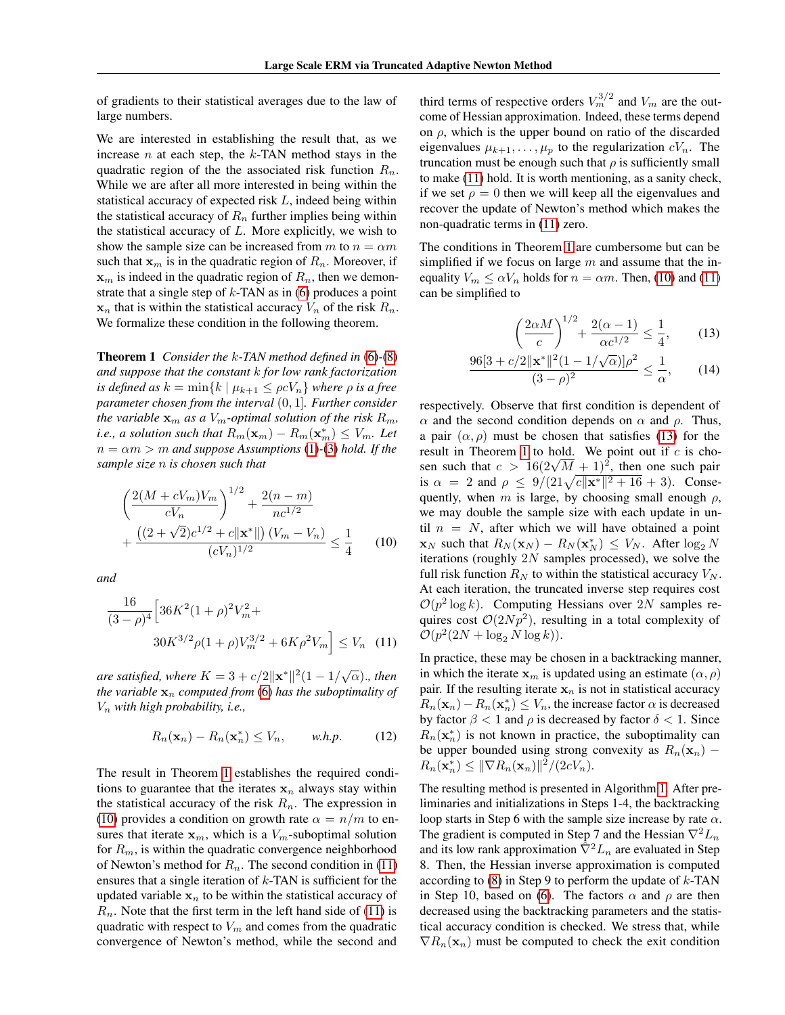of gradients to their statistical averages due to the law of large numbers.

We are interested in establishing the result that, as we increase  $n$  at each step, the  $k$ -TAN method stays in the quadratic region of the the associated risk function  $R_n$ . While we are after all more interested in being within the statistical accuracy of expected risk L, indeed being within the statistical accuracy of  $R_n$  further implies being within the statistical accuracy of  $L$ . More explicitly, we wish to show the sample size can be increased from m to  $n = \alpha m$ such that  $x_m$  is in the quadratic region of  $R_n$ . Moreover, if  $x_m$  is indeed in the quadratic region of  $R_n$ , then we demonstrate that a single step of  $k$ -TAN as in [\(6\)](#page-2-2) produces a point  $x_n$  that is within the statistical accuracy  $V_n$  of the risk  $R_n$ . We formalize these condition in the following theorem.

<span id="page-3-0"></span>Theorem 1 *Consider the* k*-TAN method defined in* [\(6\)](#page-2-2)*-*[\(8\)](#page-2-1) *and suppose that the constant* k *for low rank factorization is defined as*  $k = \min\{k \mid \mu_{k+1} \leq \rho c V_n\}$  *where*  $\rho$  *is a free parameter chosen from the interval* (0, 1]*. Further consider the variable*  $\mathbf{x}_m$  *as a*  $V_m$ -*optimal solution of the risk*  $R_m$ *, i.e., a solution such that*  $R_m(\mathbf{x}_m) - R_m(\mathbf{x}_m^*) \leq V_m$ . Let  $n = \alpha m > m$  *and suppose Assumptions* [\(1\)](#page-2-3)-[\(3\)](#page-2-5) *hold.* If the *sample size* n *is chosen such that*

$$
\left(\frac{2(M+cV_m)V_m}{cV_n}\right)^{1/2} + \frac{2(n-m)}{nc^{1/2}} + \frac{\left((2+\sqrt{2})c^{1/2} + c\|\mathbf{x}^*\|\right)(V_m - V_n)}{(cV_n)^{1/2}} \le \frac{1}{4}
$$
(10)

*and*

$$
\frac{16}{(3-\rho)^4} \left[ 36K^2(1+\rho)^2 V_m^2 + 30K^{3/2} \rho (1+\rho) V_m^{3/2} + 6K\rho^2 V_m \right] \le V_n \quad (11)
$$

*are satisfied, where*  $K = 3 + c/2 ||\mathbf{x}^*||^2 (1 - 1/\sqrt{\alpha})$ ., then *the variable*  $x_n$  *computed from* [\(6\)](#page-2-2) *has the suboptimality of* V<sup>n</sup> *with high probability, i.e.,*

<span id="page-3-4"></span>
$$
R_n(\mathbf{x}_n) - R_n(\mathbf{x}_n^*) \le V_n, \qquad \text{w.h.p.} \tag{12}
$$

The result in Theorem [1](#page-3-0) establishes the required conditions to guarantee that the iterates  $x_n$  always stay within the statistical accuracy of the risk  $R_n$ . The expression in [\(10\)](#page-3-1) provides a condition on growth rate  $\alpha = n/m$  to ensures that iterate  $x_m$ , which is a  $V_m$ -suboptimal solution for  $R_m$ , is within the quadratic convergence neighborhood of Newton's method for  $R_n$ . The second condition in [\(11\)](#page-3-2) ensures that a single iteration of  $k$ -TAN is sufficient for the updated variable  $x_n$  to be within the statistical accuracy of  $R_n$ . Note that the first term in the left hand side of [\(11\)](#page-3-2) is quadratic with respect to  $V_m$  and comes from the quadratic convergence of Newton's method, while the second and

third terms of respective orders  $V_m^{3/2}$  and  $V_m$  are the outcome of Hessian approximation. Indeed, these terms depend on  $\rho$ , which is the upper bound on ratio of the discarded eigenvalues  $\mu_{k+1}, \ldots, \mu_p$  to the regularization  $cV_n$ . The truncation must be enough such that  $\rho$  is sufficiently small to make [\(11\)](#page-3-2) hold. It is worth mentioning, as a sanity check, if we set  $\rho = 0$  then we will keep all the eigenvalues and recover the update of Newton's method which makes the non-quadratic terms in [\(11\)](#page-3-2) zero.

The conditions in Theorem [1](#page-3-0) are cumbersome but can be simplified if we focus on large  $m$  and assume that the inequality  $V_m \le \alpha V_n$  holds for  $n = \alpha m$ . Then, [\(10\)](#page-3-1) and [\(11\)](#page-3-2) can be simplified to

<span id="page-3-3"></span>
$$
\left(\frac{2\alpha M}{c}\right)^{1/2} + \frac{2(\alpha - 1)}{\alpha c^{1/2}} \le \frac{1}{4},\qquad(13)
$$

$$
\frac{96[3+c/2||\mathbf{x}^*||^2(1-1/\sqrt{\alpha})]\rho^2}{(3-\rho)^2} \le \frac{1}{\alpha},\qquad(14)
$$

<span id="page-3-1"></span>respectively. Observe that first condition is dependent of  $\alpha$  and the second condition depends on  $\alpha$  and  $\rho$ . Thus, a pair  $(\alpha, \rho)$  must be chosen that satisfies [\(13\)](#page-3-3) for the result in Theorem [1](#page-3-0) to hold. We point out if  $c$  is choresult in Theorem 1 to hold. We point out if c is chosen such that  $c > 16(2\sqrt{M} + 1)^2$ , then one such pair is  $\alpha = 2$  and  $\rho \leq 9/(21\sqrt{c||\mathbf{x}^*||^2+16}+3)$ . Consequently, when m is large, by choosing small enough  $\rho$ , we may double the sample size with each update in until  $n = N$ , after which we will have obtained a point  $\mathbf{x}_N$  such that  $R_N(\mathbf{x}_N) - R_N(\mathbf{x}_N^*) \leq V_N$ . After  $\log_2 N$ iterations (roughly 2N samples processed), we solve the full risk function  $R_N$  to within the statistical accuracy  $V_N$ . At each iteration, the truncated inverse step requires cost  $\mathcal{O}(p^2 \log k)$ . Computing Hessians over 2N samples requires cost  $\mathcal{O}(2Np^2)$ , resulting in a total complexity of  $\mathcal{O}(p^2(2N + \log_2 N \log k)).$ 

<span id="page-3-2"></span>In practice, these may be chosen in a backtracking manner, in which the iterate  $x_m$  is updated using an estimate  $(\alpha, \rho)$ pair. If the resulting iterate  $x_n$  is not in statistical accuracy  $R_n(\mathbf{x}_n) - R_n(\mathbf{x}_n^*) \leq V_n$ , the increase factor  $\alpha$  is decreased by factor  $\beta$  < 1 and  $\rho$  is decreased by factor  $\delta$  < 1. Since  $R_n(\mathbf{x}_n^*)$  is not known in practice, the suboptimality can be upper bounded using strong convexity as  $R_n(\mathbf{x}_n)$  –  $R_n(\mathbf{x}_n^*) \le ||\nabla R_n(\mathbf{x}_n)||^2/(2cV_n).$ 

The resulting method is presented in Algorithm [1.](#page-4-0) After preliminaries and initializations in Steps 1-4, the backtracking loop starts in Step 6 with the sample size increase by rate  $\alpha$ . The gradient is computed in Step 7 and the Hessian  $\nabla^2 L_n$ and its low rank approximation  $\hat{\nabla}^2 L_n$  are evaluated in Step 8. Then, the Hessian inverse approximation is computed according to  $(8)$  in Step 9 to perform the update of  $k$ -TAN in Step 10, based on [\(6\)](#page-2-2). The factors  $\alpha$  and  $\rho$  are then decreased using the backtracking parameters and the statistical accuracy condition is checked. We stress that, while  $\nabla R_n(\mathbf{x}_n)$  must be computed to check the exit condition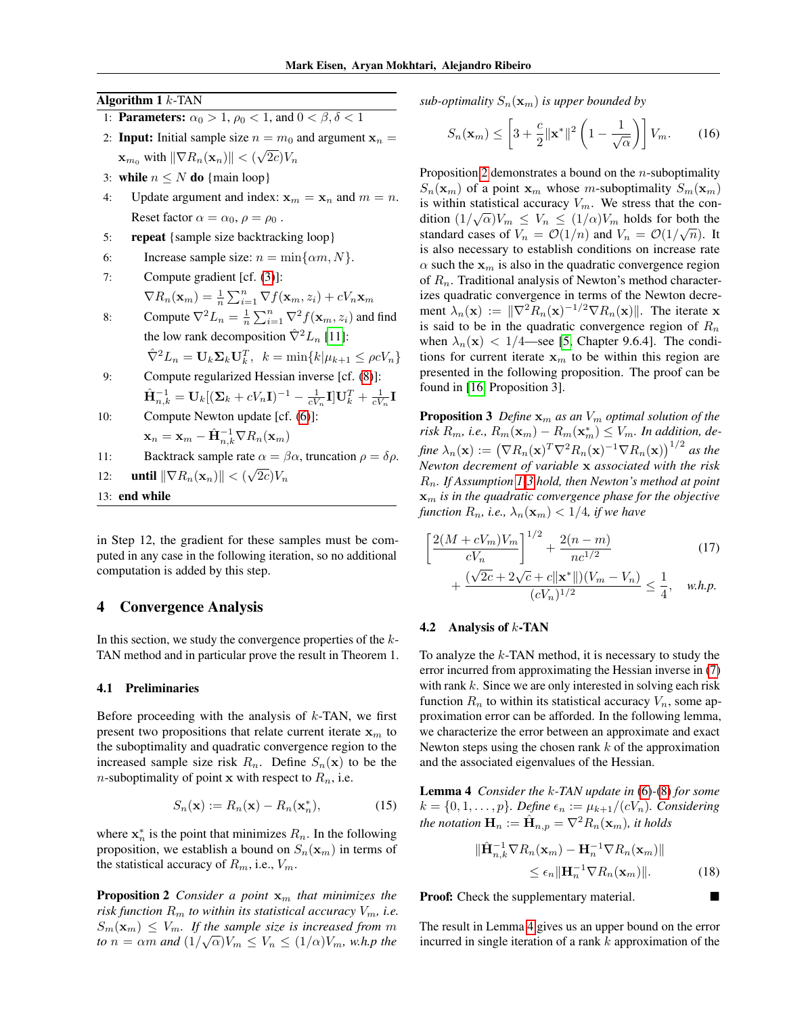Algorithm  $1 k$ -TAN

- 1: **Parameters:**  $\alpha_0 > 1$ ,  $\rho_0 < 1$ , and  $0 < \beta$ ,  $\delta < 1$
- 2: **Input:** Initial sample size  $n = m_0$  and argument  $x_n =$  $\mathbf{x}_{m_0}$  with  $\|\nabla R_n(\mathbf{x}_n)\|$  < ( √  $2c)V_n$
- 3: while  $n \leq N$  do {main loop}
- 4: Update argument and index:  $\mathbf{x}_m = \mathbf{x}_n$  and  $m = n$ . Reset factor  $\alpha = \alpha_0, \rho = \rho_0$ .
- 5: repeat {sample size backtracking loop}
- 6: Increase sample size:  $n = \min\{\alpha m, N\}.$
- 7: Compute gradient [cf. [\(3\)](#page-1-2)]:  $\nabla R_n(\mathbf{x}_m) = \frac{1}{n} \sum_{i=1}^n \nabla f(\mathbf{x}_m, z_i) + cV_n \mathbf{x}_m$
- 8: Compute  $\nabla^2 L_n = \frac{1}{n} \sum_{i=1}^n \nabla^2 f(\mathbf{x}_m, z_i)$  and find the low rank decomposition  $\hat{\nabla}^2 L_n$  [\[11\]](#page-8-25):  $\hat{\nabla}^2 L_n = \mathbf{U}_k \mathbf{\Sigma}_k \mathbf{U}_k^T$ ,  $k = \min\{k | \mu_{k+1} \leq \rho c V_n\}$
- 9: Compute regularized Hessian inverse [cf. [\(8\)](#page-2-1)]:  $\hat{\mathbf{H}}^{-1}_{n,k} = \mathbf{U}_k[(\mathbf{\Sigma}_k + cV_n\mathbf{I})^{-1} - \frac{1}{cV_n}\mathbf{I}] \mathbf{U}_k^T + \frac{1}{cV_n}\mathbf{I}$
- 10: Compute Newton update [cf. [\(6\)](#page-2-2)]:

$$
\mathbf{x}_n = \mathbf{x}_m - \hat{\mathbf{H}}_{n,k}^{-1} \nabla R_n(\mathbf{x}_m)
$$

11: Backtrack sample rate  $\alpha = \beta \alpha$ , truncation  $\rho = \delta \rho$ . √

- 12: **until**  $\|\nabla R_n(\mathbf{x}_n)\|$  < (  $2c)V_n$
- <span id="page-4-0"></span>13: end while

in Step 12, the gradient for these samples must be computed in any case in the following iteration, so no additional computation is added by this step.

### 4 Convergence Analysis

In this section, we study the convergence properties of the  $k$ -TAN method and in particular prove the result in Theorem 1.

#### 4.1 Preliminaries

Before proceeding with the analysis of  $k$ -TAN, we first present two propositions that relate current iterate  $x<sub>m</sub>$  to the suboptimality and quadratic convergence region to the increased sample size risk  $R_n$ . Define  $S_n(\mathbf{x})$  to be the *n*-suboptimality of point **x** with respect to  $R_n$ , i.e.

$$
S_n(\mathbf{x}) := R_n(\mathbf{x}) - R_n(\mathbf{x}_n^*),\tag{15}
$$

where  $x_n^*$  is the point that minimizes  $R_n$ . In the following proposition, we establish a bound on  $S_n(\mathbf{x}_m)$  in terms of the statistical accuracy of  $R_m$ , i.e.,  $V_m$ .

<span id="page-4-1"></span>**Proposition 2** *Consider a point*  $x_m$  *that minimizes the risk function*  $R_m$  *to within its statistical accuracy*  $V_m$ *, i.e.*  $S_m(\mathbf{x}_m) \leq V_m$ . If the sample size is increased from m *to*  $n = \alpha m$  and  $\left(\frac{1}{\sqrt{\alpha}}\right)V_m \leq V_n \leq \left(\frac{1}{\alpha}\right)V_m$ , w.h.p the

*sub-optimality*  $S_n(\mathbf{x}_m)$  *is upper bounded by* 

<span id="page-4-3"></span>
$$
S_n(\mathbf{x}_m) \le \left[3 + \frac{c}{2} ||\mathbf{x}^*||^2 \left(1 - \frac{1}{\sqrt{\alpha}}\right)\right] V_m. \tag{16}
$$

Proposition [2](#page-4-1) demonstrates a bound on the *n*-suboptimality  $S_n(\mathbf{x}_m)$  of a point  $\mathbf{x}_m$  whose m-suboptimality  $S_m(\mathbf{x}_m)$ is within statistical accuracy  $V_m$ . We stress that the condition  $(1/\sqrt{\alpha})V_m \leq V_n \leq (1/\alpha)V_m$  holds for both the standard cases of  $V_n = O(1/n)$  and  $V_n = O(1/\sqrt{n})$ . It is also necessary to establish conditions on increase rate  $\alpha$  such the  $x_m$  is also in the quadratic convergence region of  $R_n$ . Traditional analysis of Newton's method characterizes quadratic convergence in terms of the Newton decrement  $\lambda_n(\mathbf{x}) := \|\nabla^2 R_n(\mathbf{x})^{-1/2} \nabla R_n(\mathbf{x})\|$ . The iterate x is said to be in the quadratic convergence region of  $R_n$ when  $\lambda_n(\mathbf{x}) < 1/4$ —see [\[5,](#page-7-6) Chapter 9.6.4]. The conditions for current iterate  $x_m$  to be within this region are presented in the following proposition. The proof can be found in [\[16,](#page-8-8) Proposition 3].

<span id="page-4-4"></span>**Proposition 3** *Define*  $\mathbf{x}_m$  *as an*  $V_m$  *optimal solution of the risk*  $R_m$ , *i.e.*,  $R_m(\mathbf{x}_m) - R_m(\mathbf{x}_m^*) \leq V_m$ . In addition, define  $\lambda_n(\mathbf{x}) := \left( \nabla R_n(\mathbf{x})^T \nabla^2 R_n(\mathbf{x})^{-1} \nabla R_n(\mathbf{x}) \right)^{1/2}$  as the *Newton decrement of variable* x *associated with the risk* Rn*. If Assumption [1](#page-2-3)[-3](#page-2-5) hold, then Newton's method at point*  $\mathbf{x}_m$  *is in the quadratic convergence phase for the objective function*  $R_n$ *, i.e.,*  $\lambda_n(\mathbf{x}_m) < 1/4$ *, if we have* 

$$
\left[\frac{2(M+cV_m)V_m}{cV_n}\right]^{1/2} + \frac{2(n-m)}{nc^{1/2}} \tag{17}
$$
\n
$$
+ \frac{(\sqrt{2c} + 2\sqrt{c} + c\|\mathbf{x}^*\|)(V_m - V_n)}{(cV_n)^{1/2}} \le \frac{1}{4}, \quad w.h.p.
$$

<span id="page-4-2"></span>4

### 4.2 Analysis of  $k$ -TAN

To analyze the  $k$ -TAN method, it is necessary to study the error incurred from approximating the Hessian inverse in [\(7\)](#page-2-6) with rank  $k$ . Since we are only interested in solving each risk function  $R_n$  to within its statistical accuracy  $V_n$ , some approximation error can be afforded. In the following lemma, we characterize the error between an approximate and exact Newton steps using the chosen rank  $k$  of the approximation and the associated eigenvalues of the Hessian.

Lemma 4 *Consider the* k*-TAN update in* [\(6\)](#page-2-2)*-*[\(8\)](#page-2-1) *for some*  $k = \{0, 1, \ldots, p\}$ *. Define*  $\epsilon_n := \mu_{k+1}/(cV_n)$ *. Considering the notation*  $\mathbf{H}_n := \hat{\mathbf{H}}_{n,p} = \nabla^2 R_n(\mathbf{x}_m)$ *, it holds* 

$$
\|\hat{\mathbf{H}}_{n,k}^{-1} \nabla R_n(\mathbf{x}_m) - \mathbf{H}_n^{-1} \nabla R_n(\mathbf{x}_m)\|
$$
  
\$\leq \epsilon\_n \|\mathbf{H}\_n^{-1} \nabla R\_n(\mathbf{x}\_m)\|\$. (18)

Proof: Check the supplementary material.

The result in Lemma [4](#page-4-2) gives us an upper bound on the error incurred in single iteration of a rank  $k$  approximation of the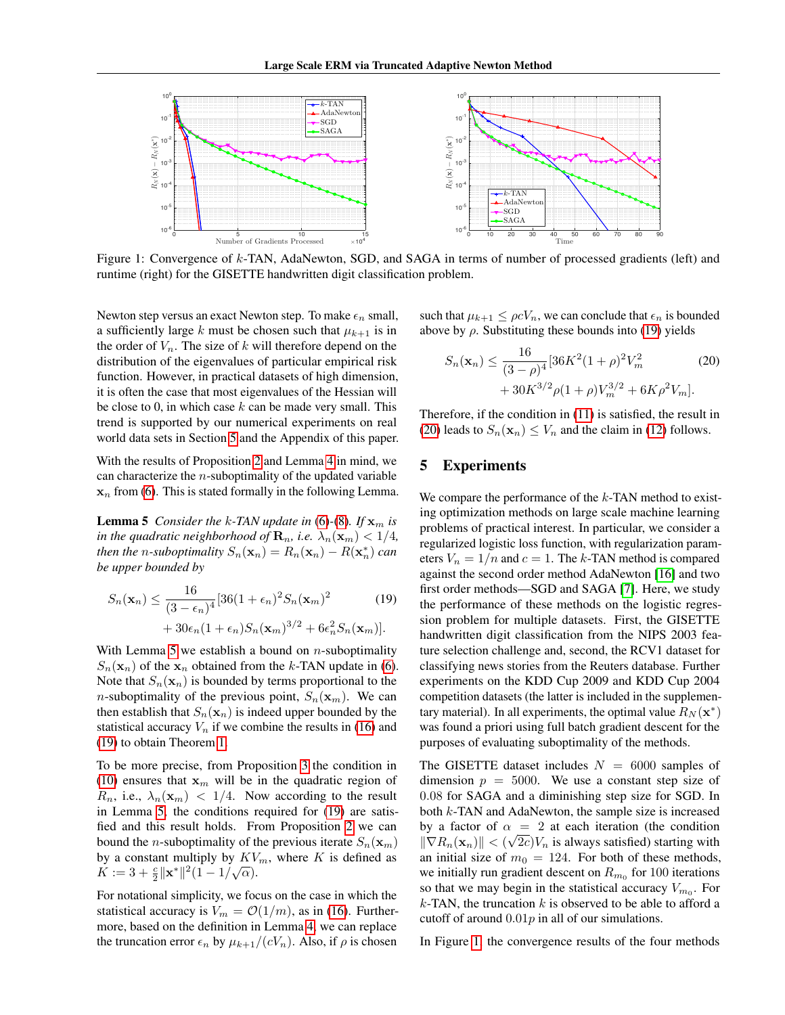

Figure 1: Convergence of k-TAN, AdaNewton, SGD, and SAGA in terms of number of processed gradients (left) and runtime (right) for the GISETTE handwritten digit classification problem.

Newton step versus an exact Newton step. To make  $\epsilon_n$  small, a sufficiently large k must be chosen such that  $\mu_{k+1}$  is in the order of  $V_n$ . The size of k will therefore depend on the distribution of the eigenvalues of particular empirical risk function. However, in practical datasets of high dimension, it is often the case that most eigenvalues of the Hessian will be close to 0, in which case  $k$  can be made very small. This trend is supported by our numerical experiments on real world data sets in Section [5](#page-5-0) and the Appendix of this paper.

With the results of Proposition [2](#page-4-1) and Lemma [4](#page-4-2) in mind, we can characterize the  $n$ -suboptimality of the updated variable  $x_n$  from [\(6\)](#page-2-2). This is stated formally in the following Lemma.

<span id="page-5-1"></span>**Lemma 5** *Consider the k-TAN update in* [\(6\)](#page-2-2)-[\(8\)](#page-2-1)*. If*  $\mathbf{x}_m$  *is in the quadratic neighborhood of*  $\mathbf{R}_n$ *, i.e.*  $\lambda_n(\mathbf{x}_m) < 1/4$ *, then the n*-suboptimality  $S_n(\mathbf{x}_n) = R_n(\mathbf{x}_n) - R(\mathbf{x}_n^*)$  can *be upper bounded by*

$$
S_n(\mathbf{x}_n) \le \frac{16}{(3 - \epsilon_n)^4} [36(1 + \epsilon_n)^2 S_n(\mathbf{x}_m)^2 + 30\epsilon_n (1 + \epsilon_n) S_n(\mathbf{x}_m)^{3/2} + 6\epsilon_n^2 S_n(\mathbf{x}_m)].
$$
\n(19)

With Lemma [5](#page-5-1) we establish a bound on  $n$ -suboptimality  $S_n(\mathbf{x}_n)$  of the  $\mathbf{x}_n$  obtained from the k-TAN update in [\(6\)](#page-2-2). Note that  $S_n(\mathbf{x}_n)$  is bounded by terms proportional to the *n*-suboptimality of the previous point,  $S_n(\mathbf{x}_m)$ . We can then establish that  $S_n(\mathbf{x}_n)$  is indeed upper bounded by the statistical accuracy  $V_n$  if we combine the results in [\(16\)](#page-4-3) and [\(19\)](#page-5-2) to obtain Theorem [1.](#page-3-0)

To be more precise, from Proposition [3](#page-4-4) the condition in [\(10\)](#page-3-1) ensures that  $x_m$  will be in the quadratic region of  $R_n$ , i.e.,  $\lambda_n(\mathbf{x}_m) < 1/4$ . Now according to the result in Lemma [5,](#page-5-1) the conditions required for [\(19\)](#page-5-2) are satisfied and this result holds. From Proposition [2](#page-4-1) we can bound the *n*-suboptimality of the previous iterate  $S_n(\mathbf{x}_m)$ by a constant multiply by  $KV_m$ , where K is defined as by a constant multiply by  $\mathbf{K} \mathbf{v}$ <br> $K := 3 + \frac{c}{2} ||\mathbf{x}^*||^2 (1 - 1/\sqrt{\alpha}).$ 

For notational simplicity, we focus on the case in which the statistical accuracy is  $V_m = \mathcal{O}(1/m)$ , as in [\(16\)](#page-4-3). Furthermore, based on the definition in Lemma [4,](#page-4-2) we can replace the truncation error  $\epsilon_n$  by  $\mu_{k+1}/(cV_n)$ . Also, if  $\rho$  is chosen

such that  $\mu_{k+1} \leq \rho c V_n$ , we can conclude that  $\epsilon_n$  is bounded above by  $\rho$ . Substituting these bounds into [\(19\)](#page-5-2) yields

<span id="page-5-4"></span><span id="page-5-3"></span>
$$
S_n(\mathbf{x}_n) \le \frac{16}{(3-\rho)^4} [36K^2(1+\rho)^2 V_m^2 + 30K^{3/2}\rho(1+\rho)V_m^{3/2} + 6K\rho^2 V_m].
$$
 (20)

Therefore, if the condition in [\(11\)](#page-3-2) is satisfied, the result in [\(20\)](#page-5-3) leads to  $S_n(\mathbf{x}_n) \leq V_n$  and the claim in [\(12\)](#page-3-4) follows.

# <span id="page-5-0"></span>5 Experiments

<span id="page-5-2"></span>We compare the performance of the  $k$ -TAN method to existing optimization methods on large scale machine learning problems of practical interest. In particular, we consider a regularized logistic loss function, with regularization parameters  $V_n = 1/n$  and  $c = 1$ . The k-TAN method is compared against the second order method AdaNewton [\[16\]](#page-8-8) and two first order methods—SGD and SAGA [\[7\]](#page-7-3). Here, we study the performance of these methods on the logistic regression problem for multiple datasets. First, the GISETTE handwritten digit classification from the NIPS 2003 feature selection challenge and, second, the RCV1 dataset for classifying news stories from the Reuters database. Further experiments on the KDD Cup 2009 and KDD Cup 2004 competition datasets (the latter is included in the supplementary material). In all experiments, the optimal value  $R_N(\mathbf{x}^*)$ was found a priori using full batch gradient descent for the purposes of evaluating suboptimality of the methods.

The GISETTE dataset includes  $N = 6000$  samples of dimension  $p = 5000$ . We use a constant step size of 0.08 for SAGA and a diminishing step size for SGD. In both k-TAN and AdaNewton, the sample size is increased by a factor of  $\alpha = 2$  at each iteration (the condition  $\|\nabla R_n(\mathbf{x}_n)\| < (\sqrt{2c})V_n$  is always satisfied) starting with an initial size of  $m_0 = 124$ . For both of these methods, we initially run gradient descent on  $R_{m_0}$  for 100 iterations so that we may begin in the statistical accuracy  $V_{m_0}$ . For  $k$ -TAN, the truncation  $k$  is observed to be able to afford a cutoff of around  $0.01p$  in all of our simulations.

In Figure [1,](#page-5-4) the convergence results of the four methods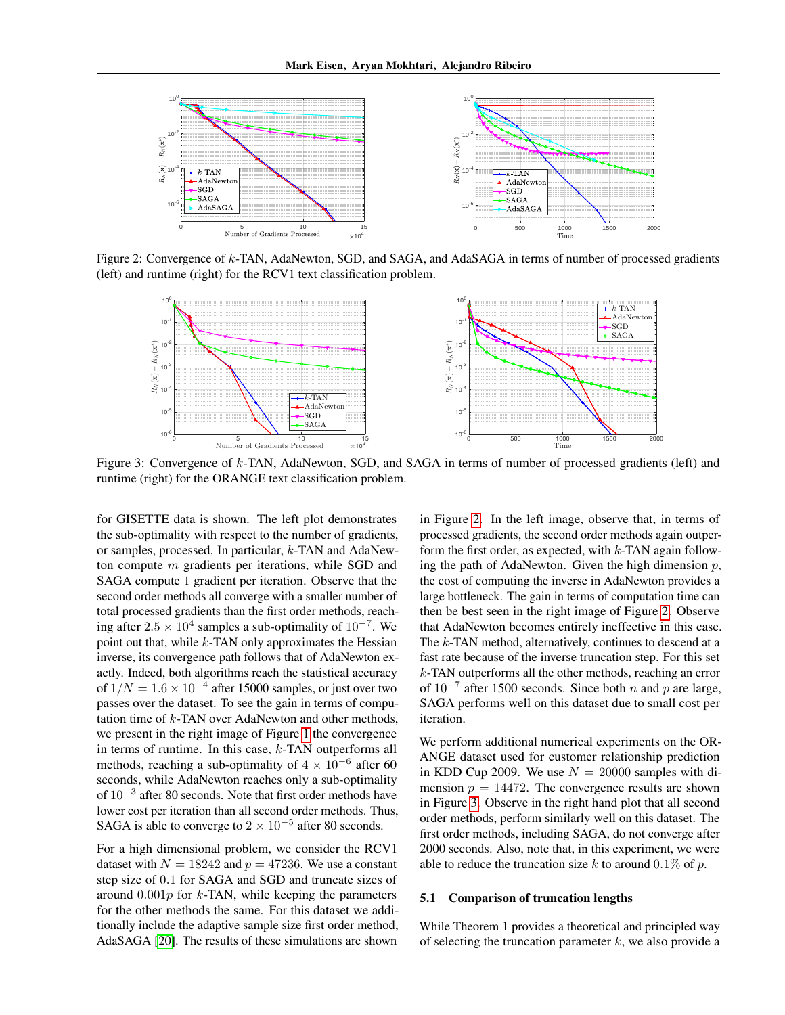

Figure 2: Convergence of k-TAN, AdaNewton, SGD, and SAGA, and AdaSAGA in terms of number of processed gradients (left) and runtime (right) for the RCV1 text classification problem.



Figure 3: Convergence of k-TAN, AdaNewton, SGD, and SAGA in terms of number of processed gradients (left) and runtime (right) for the ORANGE text classification problem.

for GISETTE data is shown. The left plot demonstrates the sub-optimality with respect to the number of gradients, or samples, processed. In particular, k-TAN and AdaNewton compute m gradients per iterations, while SGD and SAGA compute 1 gradient per iteration. Observe that the second order methods all converge with a smaller number of total processed gradients than the first order methods, reaching after  $2.5 \times 10^4$  samples a sub-optimality of  $10^{-7}$ . We point out that, while  $k$ -TAN only approximates the Hessian inverse, its convergence path follows that of AdaNewton exactly. Indeed, both algorithms reach the statistical accuracy of  $1/N = 1.6 \times 10^{-4}$  after 15000 samples, or just over two passes over the dataset. To see the gain in terms of computation time of  $k$ -TAN over AdaNewton and other methods, we present in the right image of Figure [1](#page-5-4) the convergence in terms of runtime. In this case,  $k$ -TAN outperforms all methods, reaching a sub-optimality of  $4 \times 10^{-6}$  after 60 seconds, while AdaNewton reaches only a sub-optimality of 10<sup>-3</sup> after 80 seconds. Note that first order methods have lower cost per iteration than all second order methods. Thus, SAGA is able to converge to  $2 \times 10^{-5}$  after 80 seconds.

For a high dimensional problem, we consider the RCV1 dataset with  $N = 18242$  and  $p = 47236$ . We use a constant step size of 0.1 for SAGA and SGD and truncate sizes of around  $0.001p$  for k-TAN, while keeping the parameters for the other methods the same. For this dataset we additionally include the adaptive sample size first order method, AdaSAGA [\[20\]](#page-8-9). The results of these simulations are shown

<span id="page-6-1"></span><span id="page-6-0"></span>in Figure [2.](#page-6-0) In the left image, observe that, in terms of processed gradients, the second order methods again outperform the first order, as expected, with  $k$ -TAN again following the path of AdaNewton. Given the high dimension  $p$ , the cost of computing the inverse in AdaNewton provides a large bottleneck. The gain in terms of computation time can then be best seen in the right image of Figure [2.](#page-6-0) Observe that AdaNewton becomes entirely ineffective in this case. The k-TAN method, alternatively, continues to descend at a fast rate because of the inverse truncation step. For this set  $k$ -TAN outperforms all the other methods, reaching an error of  $10^{-7}$  after 1500 seconds. Since both *n* and *p* are large, SAGA performs well on this dataset due to small cost per iteration.

We perform additional numerical experiments on the OR-ANGE dataset used for customer relationship prediction in KDD Cup 2009. We use  $N = 20000$  samples with dimension  $p = 14472$ . The convergence results are shown in Figure [3.](#page-6-1) Observe in the right hand plot that all second order methods, perform similarly well on this dataset. The first order methods, including SAGA, do not converge after 2000 seconds. Also, note that, in this experiment, we were able to reduce the truncation size k to around  $0.1\%$  of p.

#### 5.1 Comparison of truncation lengths

While Theorem 1 provides a theoretical and principled way of selecting the truncation parameter  $k$ , we also provide a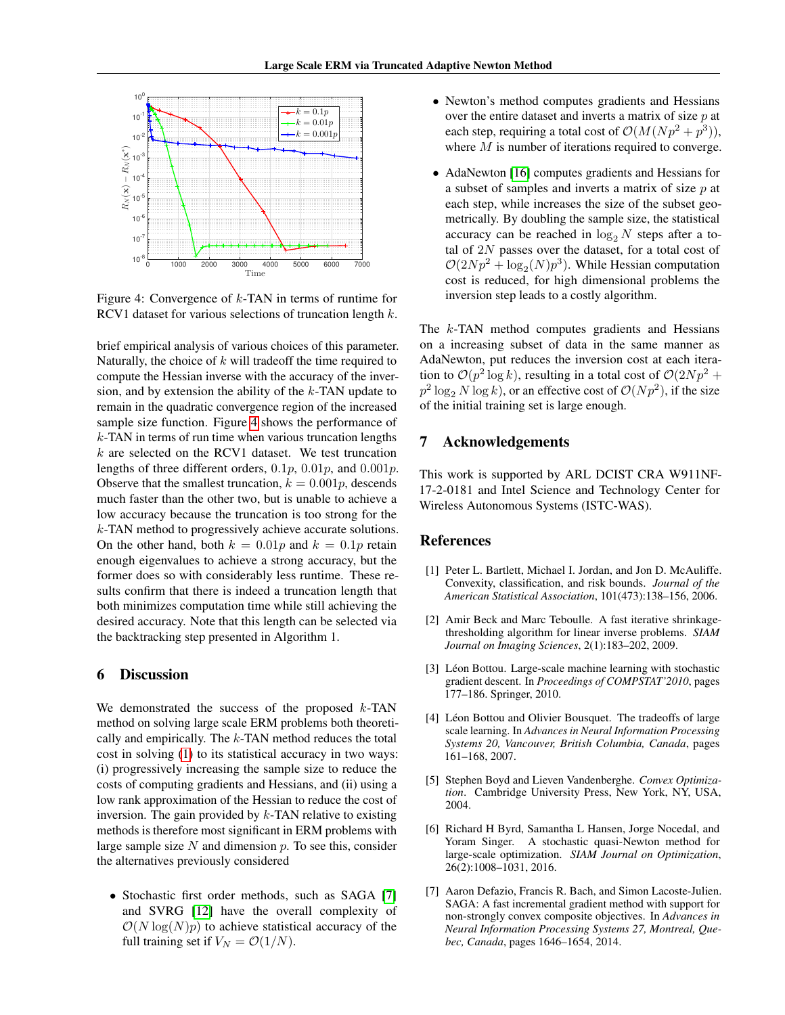

Figure 4: Convergence of  $k$ -TAN in terms of runtime for RCV1 dataset for various selections of truncation length k.

brief empirical analysis of various choices of this parameter. Naturally, the choice of  $k$  will tradeoff the time required to compute the Hessian inverse with the accuracy of the inversion, and by extension the ability of the  $k$ -TAN update to remain in the quadratic convergence region of the increased sample size function. Figure [4](#page-7-7) shows the performance of  $k$ -TAN in terms of run time when various truncation lengths  $k$  are selected on the RCV1 dataset. We test truncation lengths of three different orders,  $0.1p$ ,  $0.01p$ , and  $0.001p$ . Observe that the smallest truncation,  $k = 0.001p$ , descends much faster than the other two, but is unable to achieve a low accuracy because the truncation is too strong for the k-TAN method to progressively achieve accurate solutions. On the other hand, both  $k = 0.01p$  and  $k = 0.1p$  retain enough eigenvalues to achieve a strong accuracy, but the former does so with considerably less runtime. These results confirm that there is indeed a truncation length that both minimizes computation time while still achieving the desired accuracy. Note that this length can be selected via the backtracking step presented in Algorithm 1.

# 6 Discussion

We demonstrated the success of the proposed  $k$ -TAN method on solving large scale ERM problems both theoretically and empirically. The  $k$ -TAN method reduces the total cost in solving [\(1\)](#page-1-0) to its statistical accuracy in two ways: (i) progressively increasing the sample size to reduce the costs of computing gradients and Hessians, and (ii) using a low rank approximation of the Hessian to reduce the cost of inversion. The gain provided by  $k$ -TAN relative to existing methods is therefore most significant in ERM problems with large sample size  $N$  and dimension  $p$ . To see this, consider the alternatives previously considered

• Stochastic first order methods, such as SAGA [\[7\]](#page-7-3) and SVRG [\[12\]](#page-8-2) have the overall complexity of  $\mathcal{O}(N \log(N)p)$  to achieve statistical accuracy of the full training set if  $V_N = \mathcal{O}(1/N)$ .

- Newton's method computes gradients and Hessians over the entire dataset and inverts a matrix of size  $p$  at each step, requiring a total cost of  $\mathcal{O}(M(Np^2 + p^3))$ , where  $M$  is number of iterations required to converge.
- AdaNewton [\[16\]](#page-8-8) computes gradients and Hessians for a subset of samples and inverts a matrix of size  $p$  at each step, while increases the size of the subset geometrically. By doubling the sample size, the statistical accuracy can be reached in  $\log_2 N$  steps after a total of 2N passes over the dataset, for a total cost of  $\mathcal{O}(2Np^2 + \log_2(N)p^3)$ . While Hessian computation cost is reduced, for high dimensional problems the inversion step leads to a costly algorithm.

<span id="page-7-7"></span>The *k*-TAN method computes gradients and Hessians on a increasing subset of data in the same manner as AdaNewton, put reduces the inversion cost at each iteration to  $\mathcal{O}(p^2 \log k)$ , resulting in a total cost of  $\mathcal{O}(2Np^2 +$  $p^2 \log_2 N \log k$ , or an effective cost of  $\mathcal{O}(Np^2)$ , if the size of the initial training set is large enough.

### 7 Acknowledgements

This work is supported by ARL DCIST CRA W911NF-17-2-0181 and Intel Science and Technology Center for Wireless Autonomous Systems (ISTC-WAS).

### References

- <span id="page-7-0"></span>[1] Peter L. Bartlett, Michael I. Jordan, and Jon D. McAuliffe. Convexity, classification, and risk bounds. *Journal of the American Statistical Association*, 101(473):138–156, 2006.
- <span id="page-7-5"></span>[2] Amir Beck and Marc Teboulle. A fast iterative shrinkagethresholding algorithm for linear inverse problems. *SIAM Journal on Imaging Sciences*, 2(1):183–202, 2009.
- <span id="page-7-2"></span>[3] Léon Bottou. Large-scale machine learning with stochastic gradient descent. In *Proceedings of COMPSTAT'2010*, pages 177–186. Springer, 2010.
- <span id="page-7-1"></span>[4] Léon Bottou and Olivier Bousquet. The tradeoffs of large scale learning. In *Advances in Neural Information Processing Systems 20, Vancouver, British Columbia, Canada*, pages 161–168, 2007.
- <span id="page-7-6"></span>[5] Stephen Boyd and Lieven Vandenberghe. *Convex Optimization*. Cambridge University Press, New York, NY, USA, 2004.
- <span id="page-7-4"></span>[6] Richard H Byrd, Samantha L Hansen, Jorge Nocedal, and Yoram Singer. A stochastic quasi-Newton method for large-scale optimization. *SIAM Journal on Optimization*, 26(2):1008–1031, 2016.
- <span id="page-7-3"></span>[7] Aaron Defazio, Francis R. Bach, and Simon Lacoste-Julien. SAGA: A fast incremental gradient method with support for non-strongly convex composite objectives. In *Advances in Neural Information Processing Systems 27, Montreal, Quebec, Canada*, pages 1646–1654, 2014.